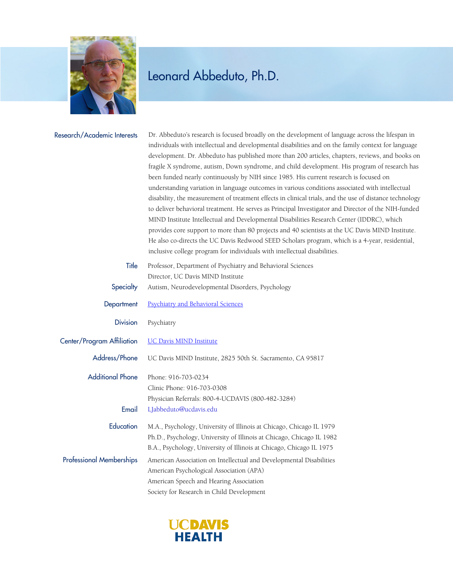

| Research/Academic Interests      | Dr. Abbeduto's research is focused broadly on the development of language across the lifespan in<br>individuals with intellectual and developmental disabilities and on the family context for language<br>development. Dr. Abbeduto has published more than 200 articles, chapters, reviews, and books on<br>fragile X syndrome, autism, Down syndrome, and child development. His program of research has<br>been funded nearly continuously by NIH since 1985. His current research is focused on<br>understanding variation in language outcomes in various conditions associated with intellectual<br>disability, the measurement of treatment effects in clinical trials, and the use of distance technology<br>to deliver behavioral treatment. He serves as Principal Investigator and Director of the NIH-funded<br>MIND Institute Intellectual and Developmental Disabilities Research Center (IDDRC), which<br>provides core support to more than 80 projects and 40 scientists at the UC Davis MIND Institute.<br>He also co-directs the UC Davis Redwood SEED Scholars program, which is a 4-year, residential,<br>inclusive college program for individuals with intellectual disabilities. |
|----------------------------------|-----------------------------------------------------------------------------------------------------------------------------------------------------------------------------------------------------------------------------------------------------------------------------------------------------------------------------------------------------------------------------------------------------------------------------------------------------------------------------------------------------------------------------------------------------------------------------------------------------------------------------------------------------------------------------------------------------------------------------------------------------------------------------------------------------------------------------------------------------------------------------------------------------------------------------------------------------------------------------------------------------------------------------------------------------------------------------------------------------------------------------------------------------------------------------------------------------------|
| Title                            | Professor, Department of Psychiatry and Behavioral Sciences<br>Director, UC Davis MIND Institute                                                                                                                                                                                                                                                                                                                                                                                                                                                                                                                                                                                                                                                                                                                                                                                                                                                                                                                                                                                                                                                                                                          |
| Specialty                        | Autism, Neurodevelopmental Disorders, Psychology                                                                                                                                                                                                                                                                                                                                                                                                                                                                                                                                                                                                                                                                                                                                                                                                                                                                                                                                                                                                                                                                                                                                                          |
| Department                       | <b>Psychiatry and Behavioral Sciences</b>                                                                                                                                                                                                                                                                                                                                                                                                                                                                                                                                                                                                                                                                                                                                                                                                                                                                                                                                                                                                                                                                                                                                                                 |
| <b>Division</b>                  | Psychiatry                                                                                                                                                                                                                                                                                                                                                                                                                                                                                                                                                                                                                                                                                                                                                                                                                                                                                                                                                                                                                                                                                                                                                                                                |
| Center/Program Affiliation       | <b>UC Davis MIND Institute</b>                                                                                                                                                                                                                                                                                                                                                                                                                                                                                                                                                                                                                                                                                                                                                                                                                                                                                                                                                                                                                                                                                                                                                                            |
| Address/Phone                    | UC Davis MIND Institute, 2825 50th St. Sacramento, CA 95817                                                                                                                                                                                                                                                                                                                                                                                                                                                                                                                                                                                                                                                                                                                                                                                                                                                                                                                                                                                                                                                                                                                                               |
| <b>Additional Phone</b><br>Email | Phone: 916-703-0234<br>Clinic Phone: 916-703-0308<br>Physician Referrals: 800-4-UCDAVIS (800-482-3284)<br>LJabbeduto@ucdavis.edu                                                                                                                                                                                                                                                                                                                                                                                                                                                                                                                                                                                                                                                                                                                                                                                                                                                                                                                                                                                                                                                                          |
| Education                        | M.A., Psychology, University of Illinois at Chicago, Chicago IL 1979<br>Ph.D., Psychology, University of Illinois at Chicago, Chicago IL 1982<br>B.A., Psychology, University of Illinois at Chicago, Chicago IL 1975                                                                                                                                                                                                                                                                                                                                                                                                                                                                                                                                                                                                                                                                                                                                                                                                                                                                                                                                                                                     |
| <b>Professional Memberships</b>  | American Association on Intellectual and Developmental Disabilities<br>American Psychological Association (APA)<br>American Speech and Hearing Association<br>Society for Research in Child Development                                                                                                                                                                                                                                                                                                                                                                                                                                                                                                                                                                                                                                                                                                                                                                                                                                                                                                                                                                                                   |

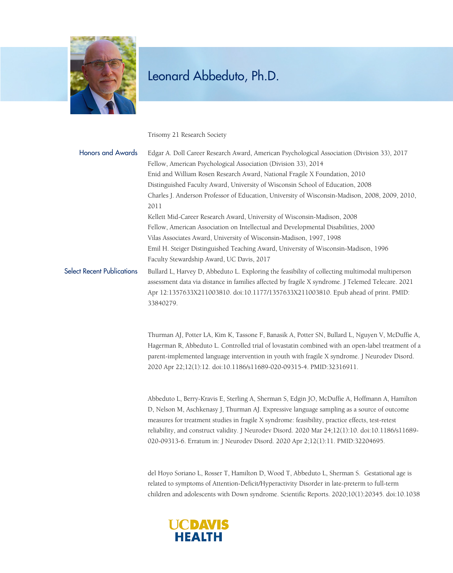

Trisomy 21 Research Society

| <b>Honors and Awards</b>          | Edgar A. Doll Career Research Award, American Psychological Association (Division 33), 2017       |
|-----------------------------------|---------------------------------------------------------------------------------------------------|
|                                   | Fellow, American Psychological Association (Division 33), 2014                                    |
|                                   | Enid and William Rosen Research Award, National Fragile X Foundation, 2010                        |
|                                   | Distinguished Faculty Award, University of Wisconsin School of Education, 2008                    |
|                                   | Charles J. Anderson Professor of Education, University of Wisconsin-Madison, 2008, 2009, 2010,    |
|                                   | 2011                                                                                              |
|                                   | Kellett Mid-Career Research Award, University of Wisconsin-Madison, 2008                          |
|                                   | Fellow, American Association on Intellectual and Developmental Disabilities, 2000                 |
|                                   | Vilas Associates Award, University of Wisconsin-Madison, 1997, 1998                               |
|                                   | Emil H. Steiger Distinguished Teaching Award, University of Wisconsin-Madison, 1996               |
|                                   | Faculty Stewardship Award, UC Davis, 2017                                                         |
| <b>Select Recent Publications</b> | Bullard L, Harvey D, Abbeduto L. Exploring the feasibility of collecting multimodal multiperson   |
|                                   | assessment data via distance in families affected by fragile X syndrome. J Telemed Telecare. 2021 |
|                                   | Apr 12:1357633X211003810. doi:10.1177/1357633X211003810. Epub ahead of print. PMID:               |
|                                   | 33840279.                                                                                         |

Thurman AJ, Potter LA, Kim K, Tassone F, Banasik A, Potter SN, Bullard L, Nguyen V, McDuffie A, Hagerman R, Abbeduto L. Controlled trial of lovastatin combined with an open-label treatment of a parent-implemented language intervention in youth with fragile X syndrome. J Neurodev Disord. 2020 Apr 22;12(1):12. doi:10.1186/s11689-020-09315-4. PMID:32316911.

Abbeduto L, Berry-Kravis E, Sterling A, Sherman S, Edgin JO, McDuffie A, Hoffmann A, Hamilton D, Nelson M, Aschkenasy J, Thurman AJ. Expressive language sampling as a source of outcome measures for treatment studies in fragile X syndrome: feasibility, practice effects, test-retest reliability, and construct validity. J Neurodev Disord. 2020 Mar 24;12(1):10. doi:10.1186/s11689- 020-09313-6. Erratum in: J Neurodev Disord. 2020 Apr 2;12(1):11. PMID:32204695.

del Hoyo Soriano L, Rosser T, Hamilton D, Wood T, Abbeduto L, Sherman S. Gestational age is related to symptoms of Attention-Deficit/Hyperactivity Disorder in late-preterm to full-term children and adolescents with Down syndrome. Scientific Reports. 2020;10(1):20345. doi:10.1038

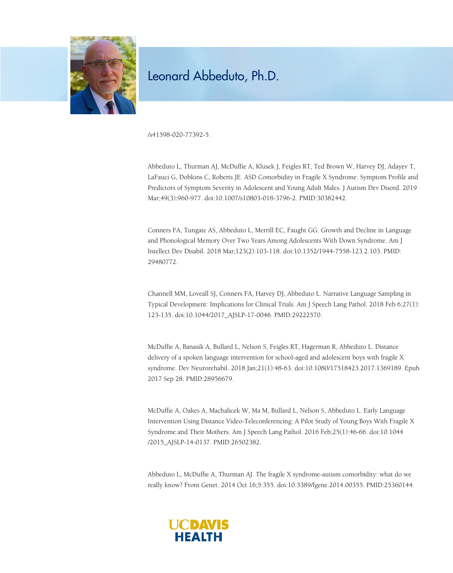

/s41598-020-77392-5.

Abbeduto L, Thurman AJ, McDuffie A, Klusek J, Feigles RT, Ted Brown W, Harvey DJ, Adayev T, LaFauci G, Dobkins C, Roberts JE. ASD Comorbidity in Fragile X Syndrome: Symptom Profile and Predictors of Symptom Severity in Adolescent and Young Adult Males. J Autism Dev Disord. 2019 Mar;49(3):960-977. doi:10.1007/s10803-018-3796-2. PMID:30382442.

Conners FA, Tungate AS, Abbeduto L, Merrill EC, Faught GG. Growth and Decline in Language and Phonological Memory Over Two Years Among Adolescents With Down Syndrome. Am J Intellect Dev Disabil. 2018 Mar;123(2):103-118. doi:10.1352/1944-7558-123.2.103. PMID: 29480772.

Channell MM, Loveall SJ, Conners FA, Harvey DJ, Abbeduto L. Narrative Language Sampling in Typical Development: Implications for Clinical Trials. Am J Speech Lang Pathol. 2018 Feb 6;27(1): 123-135. doi:10.1044/2017\_AJSLP-17-0046. PMID:29222570.

McDuffie A, Banasik A, Bullard L, Nelson S, Feigles RT, Hagerman R, Abbeduto L. Distance delivery of a spoken language intervention for school-aged and adolescent boys with fragile X syndrome. Dev Neurorehabil. 2018 Jan;21(1):48-63. doi:10.1080/17518423.2017.1369189. Epub 2017 Sep 28. PMID:28956679.

McDuffie A, Oakes A, Machalicek W, Ma M, Bullard L, Nelson S, Abbeduto L. Early Language Intervention Using Distance Video-Teleconferencing: A Pilot Study of Young Boys With Fragile X Syndrome and Their Mothers. Am J Speech Lang Pathol. 2016 Feb;25(1):46-66. doi:10.1044 /2015\_AJSLP-14-0137. PMID:26502382.

Abbeduto L, McDuffie A, Thurman AJ. The fragile X syndrome-autism comorbidity: what do we really know? Front Genet. 2014 Oct 16;5:355. doi:10.3389/fgene.2014.00355. PMID:25360144.